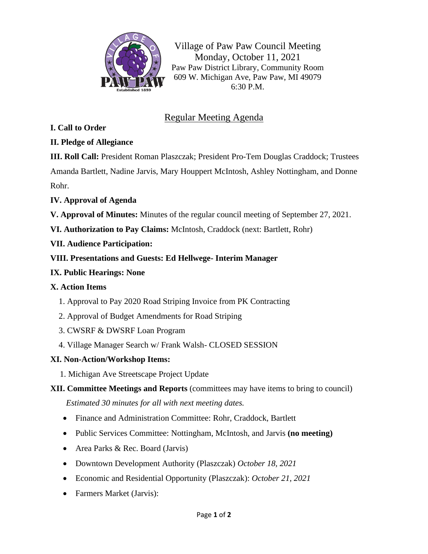

Village of Paw Paw Council Meeting Monday, October 11, 2021 Paw Paw District Library, Community Room 609 W. Michigan Ave, Paw Paw, MI 49079 6:30 P.M.

# Regular Meeting Agenda

#### **I. Call to Order**

#### **II. Pledge of Allegiance**

**III. Roll Call:** President Roman Plaszczak; President Pro-Tem Douglas Craddock; Trustees Amanda Bartlett, Nadine Jarvis, Mary Houppert McIntosh, Ashley Nottingham, and Donne Rohr.

#### **IV. Approval of Agenda**

**V. Approval of Minutes:** Minutes of the regular council meeting of September 27, 2021.

**VI. Authorization to Pay Claims:** McIntosh, Craddock (next: Bartlett, Rohr)

## **VII. Audience Participation:**

## **VIII. Presentations and Guests: Ed Hellwege- Interim Manager**

#### **IX. Public Hearings: None**

#### **X. Action Items**

- 1. Approval to Pay 2020 Road Striping Invoice from PK Contracting
- 2. Approval of Budget Amendments for Road Striping
- 3. CWSRF & DWSRF Loan Program
- 4. Village Manager Search w/ Frank Walsh- CLOSED SESSION

## **XI. Non-Action/Workshop Items:**

1. Michigan Ave Streetscape Project Update

## **XII. Committee Meetings and Reports** (committees may have items to bring to council) *Estimated 30 minutes for all with next meeting dates.*

- Finance and Administration Committee: Rohr, Craddock, Bartlett
- Public Services Committee: Nottingham, McIntosh, and Jarvis **(no meeting)**
- Area Parks & Rec. Board (Jarvis)
- Downtown Development Authority (Plaszczak) *October 18, 2021*
- Economic and Residential Opportunity (Plaszczak): *October 21, 2021*
- Farmers Market (Jarvis):